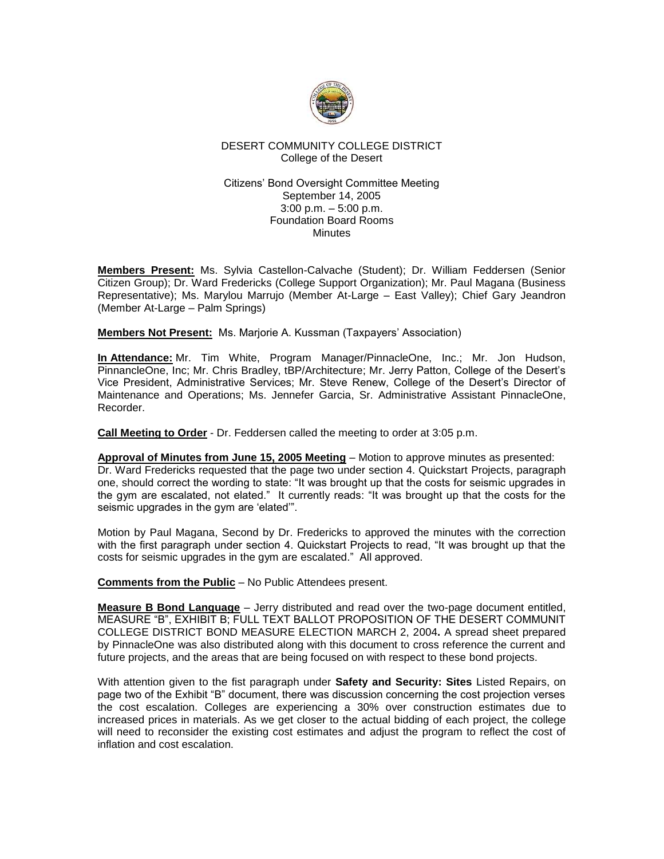

## DESERT COMMUNITY COLLEGE DISTRICT College of the Desert

#### Citizens' Bond Oversight Committee Meeting September 14, 2005 3:00 p.m. – 5:00 p.m. Foundation Board Rooms **Minutes**

**Members Present:** Ms. Sylvia Castellon-Calvache (Student); Dr. William Feddersen (Senior Citizen Group); Dr. Ward Fredericks (College Support Organization); Mr. Paul Magana (Business Representative); Ms. Marylou Marrujo (Member At-Large – East Valley); Chief Gary Jeandron (Member At-Large – Palm Springs)

**Members Not Present:** Ms. Marjorie A. Kussman (Taxpayers' Association)

**In Attendance:** Mr. Tim White, Program Manager/PinnacleOne, Inc.; Mr. Jon Hudson, PinnancleOne, Inc; Mr. Chris Bradley, tBP/Architecture; Mr. Jerry Patton, College of the Desert's Vice President, Administrative Services; Mr. Steve Renew, College of the Desert's Director of Maintenance and Operations; Ms. Jennefer Garcia, Sr. Administrative Assistant PinnacleOne, Recorder.

**Call Meeting to Order** - Dr. Feddersen called the meeting to order at 3:05 p.m.

**Approval of Minutes from June 15, 2005 Meeting** – Motion to approve minutes as presented: Dr. Ward Fredericks requested that the page two under section 4. Quickstart Projects, paragraph one, should correct the wording to state: "It was brought up that the costs for seismic upgrades in the gym are escalated, not elated." It currently reads: "It was brought up that the costs for the seismic upgrades in the gym are 'elated'".

Motion by Paul Magana, Second by Dr. Fredericks to approved the minutes with the correction with the first paragraph under section 4. Quickstart Projects to read, "It was brought up that the costs for seismic upgrades in the gym are escalated." All approved.

**Comments from the Public** – No Public Attendees present.

**Measure B Bond Language** – Jerry distributed and read over the two-page document entitled, MEASURE "B", EXHIBIT B; FULL TEXT BALLOT PROPOSITION OF THE DESERT COMMUNIT COLLEGE DISTRICT BOND MEASURE ELECTION MARCH 2, 2004**.** A spread sheet prepared by PinnacleOne was also distributed along with this document to cross reference the current and future projects, and the areas that are being focused on with respect to these bond projects.

With attention given to the fist paragraph under **Safety and Security: Sites** Listed Repairs, on page two of the Exhibit "B" document, there was discussion concerning the cost projection verses the cost escalation. Colleges are experiencing a 30% over construction estimates due to increased prices in materials. As we get closer to the actual bidding of each project, the college will need to reconsider the existing cost estimates and adjust the program to reflect the cost of inflation and cost escalation.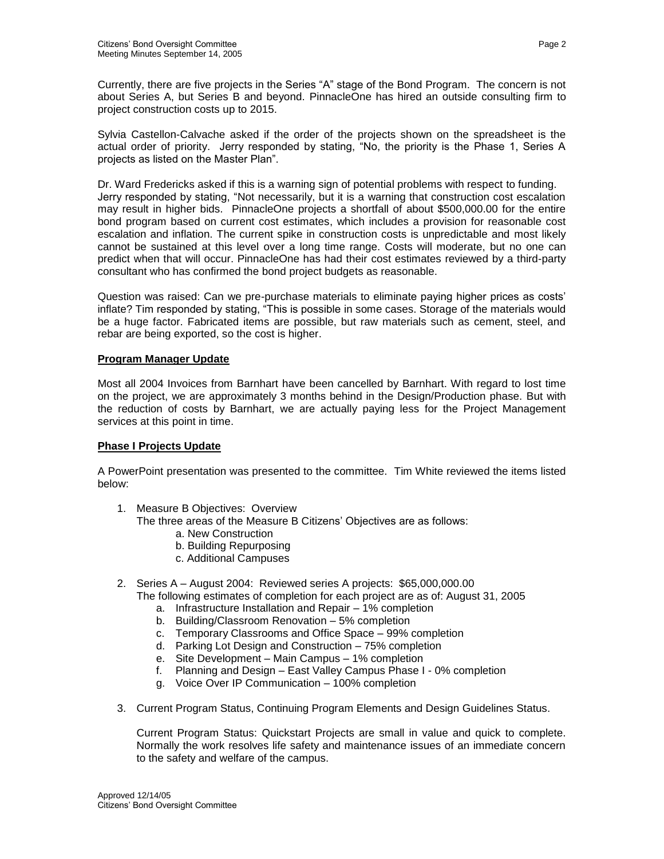Currently, there are five projects in the Series "A" stage of the Bond Program. The concern is not about Series A, but Series B and beyond. PinnacleOne has hired an outside consulting firm to project construction costs up to 2015.

Sylvia Castellon-Calvache asked if the order of the projects shown on the spreadsheet is the actual order of priority. Jerry responded by stating, "No, the priority is the Phase 1, Series A projects as listed on the Master Plan".

Dr. Ward Fredericks asked if this is a warning sign of potential problems with respect to funding. Jerry responded by stating, "Not necessarily, but it is a warning that construction cost escalation may result in higher bids. PinnacleOne projects a shortfall of about \$500,000.00 for the entire bond program based on current cost estimates, which includes a provision for reasonable cost escalation and inflation. The current spike in construction costs is unpredictable and most likely cannot be sustained at this level over a long time range. Costs will moderate, but no one can predict when that will occur. PinnacleOne has had their cost estimates reviewed by a third-party consultant who has confirmed the bond project budgets as reasonable.

Question was raised: Can we pre-purchase materials to eliminate paying higher prices as costs' inflate? Tim responded by stating, "This is possible in some cases. Storage of the materials would be a huge factor. Fabricated items are possible, but raw materials such as cement, steel, and rebar are being exported, so the cost is higher.

## **Program Manager Update**

Most all 2004 Invoices from Barnhart have been cancelled by Barnhart. With regard to lost time on the project, we are approximately 3 months behind in the Design/Production phase. But with the reduction of costs by Barnhart, we are actually paying less for the Project Management services at this point in time.

# **Phase I Projects Update**

A PowerPoint presentation was presented to the committee. Tim White reviewed the items listed below:

1. Measure B Objectives: Overview

The three areas of the Measure B Citizens' Objectives are as follows:

- a. New Construction
- b. Building Repurposing
- c. Additional Campuses
- 2. Series A August 2004: Reviewed series A projects: \$65,000,000.00 The following estimates of completion for each project are as of: August 31, 2005
	- a. Infrastructure Installation and Repair 1% completion
	- b. Building/Classroom Renovation 5% completion
	- c. Temporary Classrooms and Office Space 99% completion
	- d. Parking Lot Design and Construction 75% completion
	- e. Site Development Main Campus 1% completion
	- f. Planning and Design East Valley Campus Phase I 0% completion
	- g. Voice Over IP Communication 100% completion
- 3. Current Program Status, Continuing Program Elements and Design Guidelines Status.

Current Program Status: Quickstart Projects are small in value and quick to complete. Normally the work resolves life safety and maintenance issues of an immediate concern to the safety and welfare of the campus.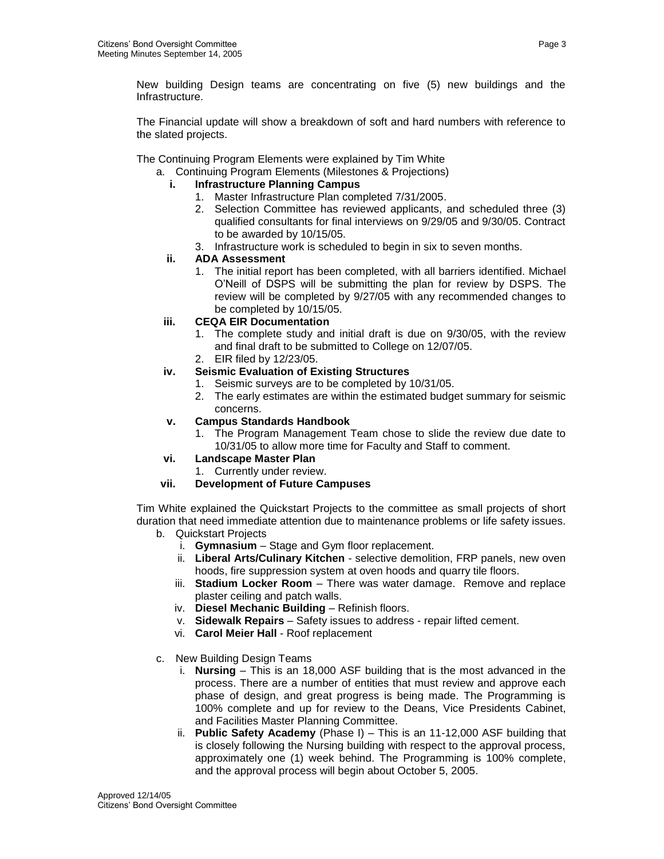New building Design teams are concentrating on five (5) new buildings and the Infrastructure.

The Financial update will show a breakdown of soft and hard numbers with reference to the slated projects.

The Continuing Program Elements were explained by Tim White

a. Continuing Program Elements (Milestones & Projections)

- **i. Infrastructure Planning Campus**
	- 1. Master Infrastructure Plan completed 7/31/2005.
	- 2. Selection Committee has reviewed applicants, and scheduled three (3) qualified consultants for final interviews on 9/29/05 and 9/30/05. Contract to be awarded by 10/15/05.
	- 3. Infrastructure work is scheduled to begin in six to seven months.
- **ii. ADA Assessment**
	- 1. The initial report has been completed, with all barriers identified. Michael O'Neill of DSPS will be submitting the plan for review by DSPS. The review will be completed by 9/27/05 with any recommended changes to be completed by 10/15/05.

# **iii. CEQA EIR Documentation**

- 1. The complete study and initial draft is due on 9/30/05, with the review and final draft to be submitted to College on 12/07/05.
- 2. EIR filed by 12/23/05.

## **iv. Seismic Evaluation of Existing Structures**

- 1. Seismic surveys are to be completed by 10/31/05.
- 2. The early estimates are within the estimated budget summary for seismic concerns.

## **v. Campus Standards Handbook**

1. The Program Management Team chose to slide the review due date to 10/31/05 to allow more time for Faculty and Staff to comment.

#### **vi. Landscape Master Plan**

1. Currently under review.

# **vii. Development of Future Campuses**

Tim White explained the Quickstart Projects to the committee as small projects of short duration that need immediate attention due to maintenance problems or life safety issues.

- b. Quickstart Projects
	- i. **Gymnasium**  Stage and Gym floor replacement.
	- ii. **Liberal Arts/Culinary Kitchen** selective demolition, FRP panels, new oven hoods, fire suppression system at oven hoods and quarry tile floors.
	- iii. **Stadium Locker Room** There was water damage. Remove and replace plaster ceiling and patch walls.
	- iv. **Diesel Mechanic Building** Refinish floors.
	- v. **Sidewalk Repairs** Safety issues to address repair lifted cement.
	- vi. **Carol Meier Hall** Roof replacement
- c. New Building Design Teams
	- i. **Nursing** This is an 18,000 ASF building that is the most advanced in the process. There are a number of entities that must review and approve each phase of design, and great progress is being made. The Programming is 100% complete and up for review to the Deans, Vice Presidents Cabinet, and Facilities Master Planning Committee.
	- ii. **Public Safety Academy** (Phase I) This is an 11-12,000 ASF building that is closely following the Nursing building with respect to the approval process, approximately one (1) week behind. The Programming is 100% complete, and the approval process will begin about October 5, 2005.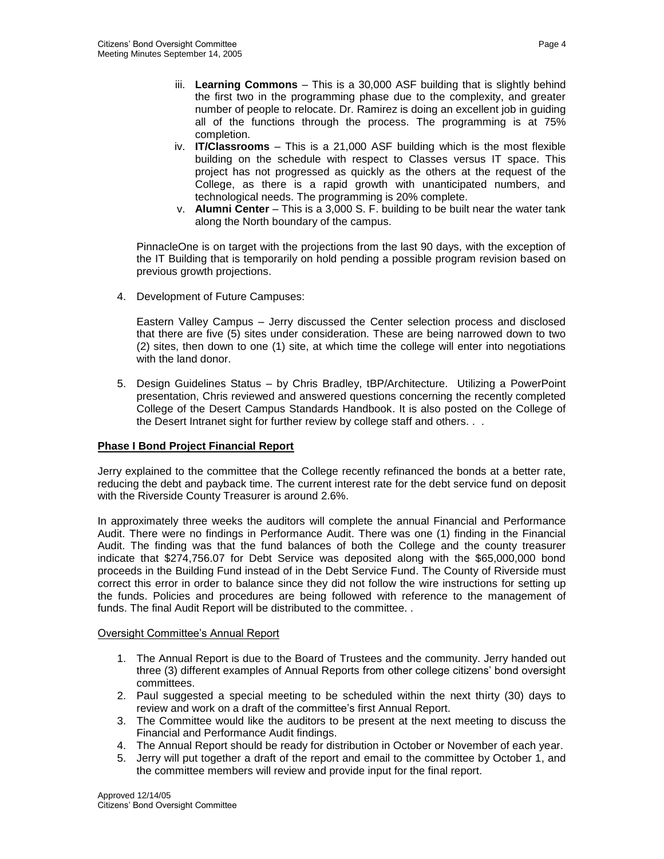- iii. **Learning Commons** This is a 30,000 ASF building that is slightly behind the first two in the programming phase due to the complexity, and greater number of people to relocate. Dr. Ramirez is doing an excellent job in guiding all of the functions through the process. The programming is at 75% completion.
- iv. **IT/Classrooms** This is a 21,000 ASF building which is the most flexible building on the schedule with respect to Classes versus IT space. This project has not progressed as quickly as the others at the request of the College, as there is a rapid growth with unanticipated numbers, and technological needs. The programming is 20% complete.
- v. **Alumni Center** This is a 3,000 S. F. building to be built near the water tank along the North boundary of the campus.

PinnacleOne is on target with the projections from the last 90 days, with the exception of the IT Building that is temporarily on hold pending a possible program revision based on previous growth projections.

4. Development of Future Campuses:

Eastern Valley Campus – Jerry discussed the Center selection process and disclosed that there are five (5) sites under consideration. These are being narrowed down to two (2) sites, then down to one (1) site, at which time the college will enter into negotiations with the land donor.

5. Design Guidelines Status – by Chris Bradley, tBP/Architecture. Utilizing a PowerPoint presentation, Chris reviewed and answered questions concerning the recently completed College of the Desert Campus Standards Handbook. It is also posted on the College of the Desert Intranet sight for further review by college staff and others. . .

# **Phase I Bond Project Financial Report**

Jerry explained to the committee that the College recently refinanced the bonds at a better rate, reducing the debt and payback time. The current interest rate for the debt service fund on deposit with the Riverside County Treasurer is around 2.6%.

In approximately three weeks the auditors will complete the annual Financial and Performance Audit. There were no findings in Performance Audit. There was one (1) finding in the Financial Audit. The finding was that the fund balances of both the College and the county treasurer indicate that \$274,756.07 for Debt Service was deposited along with the \$65,000,000 bond proceeds in the Building Fund instead of in the Debt Service Fund. The County of Riverside must correct this error in order to balance since they did not follow the wire instructions for setting up the funds. Policies and procedures are being followed with reference to the management of funds. The final Audit Report will be distributed to the committee. .

# Oversight Committee's Annual Report

- 1. The Annual Report is due to the Board of Trustees and the community. Jerry handed out three (3) different examples of Annual Reports from other college citizens' bond oversight committees.
- 2. Paul suggested a special meeting to be scheduled within the next thirty (30) days to review and work on a draft of the committee's first Annual Report.
- 3. The Committee would like the auditors to be present at the next meeting to discuss the Financial and Performance Audit findings.
- 4. The Annual Report should be ready for distribution in October or November of each year.
- 5. Jerry will put together a draft of the report and email to the committee by October 1, and the committee members will review and provide input for the final report.